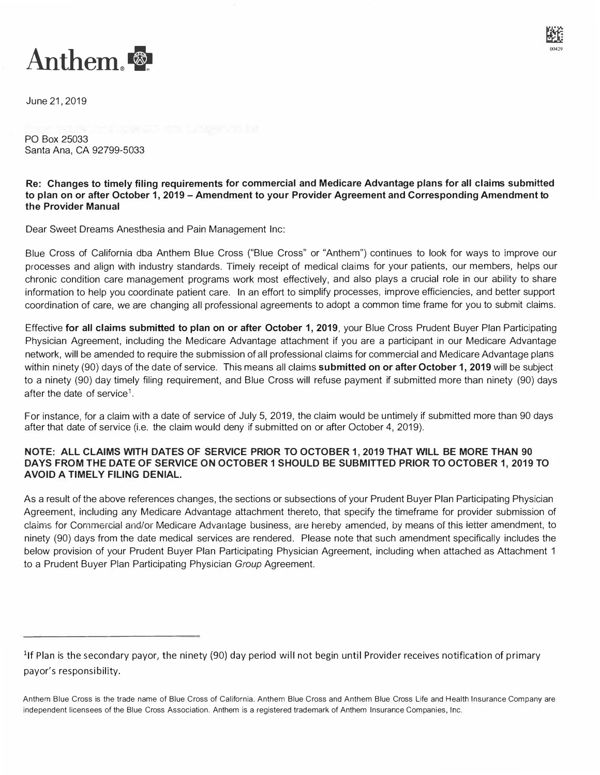

June 21, 2019

PO Box 25033 Santa Ana, CA 92799-5033

**Re: Changes to timely filing requirements for commercial and Medicare Advantage plans for all claims submitted to plan on or after October 1, 2019-Amendment to your Provider Agreement and Corresponding Amendment to the Provider Manual** 

Dear Sweet Dreams Anesthesia and Pain Management Inc:

Blue Cross of California dba Anthem Blue Cross {"Blue Cross" or "Anthem") continues to look for ways to improve our processes and align with industry standards. Timeiy receipt of medical claims for your patients, our members, helps our chronic condition care management programs work most effectively, and also plays a crucial role in our ability to share information to help you coordinate patient care. In an effort to simplify processes, improve efficiencies, and better support coordination of care, we are changing all professional agreements to adopt a common time frame for you to submit claims.

Effective **for all claims submitted to plan on or after October 1, 2019,** your Blue Cross Prudent Buyer Plan Participating Physician Agreement, including the Medicare Advantage attachment if you are a participant in our Medicare Advantage network, will be amended to require the submission of all professional claims for commercial and Medicare Advantage plans within ninety (90) days of the date of service. This means all claims **submitted on or after October 1, 2019** will be subject to a ninety (90) day timely filing requirement, and Blue Cross will refuse payment if submitted more than ninety (90) days after the date of service<sup>1</sup>.

For instance, for a claim with a date of service of July 5, 2019, the claim would be untimely if submitted more than 90 days after that date of service (i.e. the claim would deny if submitted on or after October 4, 2019).

## **NOTE: ALL CLAIMS WITH DATES OF SERVICE PRIOR TO OCTOBER 1, 2019 THAT WILL BE MORE THAN 90 DAYS FROM THE DATE OF SERVICE ON OCTOBER 1 SHOULD BE SUBMITTED PRIOR TO OCTOBER 1, 2019 TO AVOID A TIMELY FILING DENIAL.**

As a result of the above references changes, the sections or subsections of your Prudent Buyer Plan Participating Physician Agreement, including any Medicare Advantage attachment thereto, that specify the timeframe for provider submission of claims for Commercial and/or Medicare Advantage business, are hereby amended, by means of this ietter amendment, to ninety (90) days from the date medical services are rendered. Please note that such amendment specifically includes the below provision of your Prudent Buyer Plan Participating Physician Agreement, including when attached as Attachment 1 to a Prudent Buyer Plan Participating Physician *Group* Agreement.

<sup>&</sup>lt;sup>1</sup>If Plan is the secondary payor, the ninety (90) day period will not begin until Provider receives notification of primary payor's responsibility.

Anthem Blue Cross is the trade name of Blue Cross of California. Anthem Blue Cross and Anthem Blue Cross Life and Health Insurance Company are independent licensees of the Blue Cross Association. Anthem is a registered trademark of Anthem Insurance Companies, Inc.